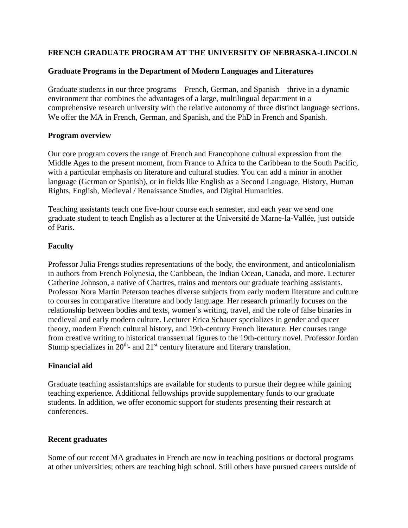# **FRENCH GRADUATE PROGRAM AT THE UNIVERSITY OF NEBRASKA-LINCOLN**

#### **Graduate Programs in the Department of Modern Languages and Literatures**

Graduate students in our three programs—French, German, and Spanish—thrive in a dynamic environment that combines the advantages of a large, multilingual department in a comprehensive research university with the relative autonomy of three distinct language sections. We offer the MA in French, German, and Spanish, and the PhD in French and Spanish.

#### **Program overview**

Our core program covers the range of French and Francophone cultural expression from the Middle Ages to the present moment, from France to Africa to the Caribbean to the South Pacific, with a particular emphasis on literature and cultural studies. You can add a minor in another language (German or Spanish), or in fields like English as a Second Language, History, Human Rights, English, Medieval / Renaissance Studies, and Digital Humanities.

Teaching assistants teach one five-hour course each semester, and each year we send one graduate student to teach English as a lecturer at the Université de Marne-la-Vallée, just outside of Paris.

# **Faculty**

Professor Julia Frengs studies representations of the body, the environment, and anticolonialism in authors from French Polynesia, the Caribbean, the Indian Ocean, Canada, and more. Lecturer Catherine Johnson, a native of Chartres, trains and mentors our graduate teaching assistants. Professor Nora Martin Peterson teaches diverse subjects from early modern literature and culture to courses in comparative literature and body language. Her research primarily focuses on the relationship between bodies and texts, women's writing, travel, and the role of false binaries in medieval and early modern culture. Lecturer Erica Schauer specializes in gender and queer theory, modern French cultural history, and 19th-century French literature. Her courses range from creative writing to historical transsexual figures to the 19th-century novel. Professor Jordan Stump specializes in  $20<sup>th</sup>$ - and  $21<sup>st</sup>$  century literature and literary translation.

# **Financial aid**

Graduate teaching assistantships are available for students to pursue their degree while gaining teaching experience. Additional fellowships provide supplementary funds to our graduate students. In addition, we offer economic support for students presenting their research at conferences.

# **Recent graduates**

Some of our recent MA graduates in French are now in teaching positions or doctoral programs at other universities; others are teaching high school. Still others have pursued careers outside of